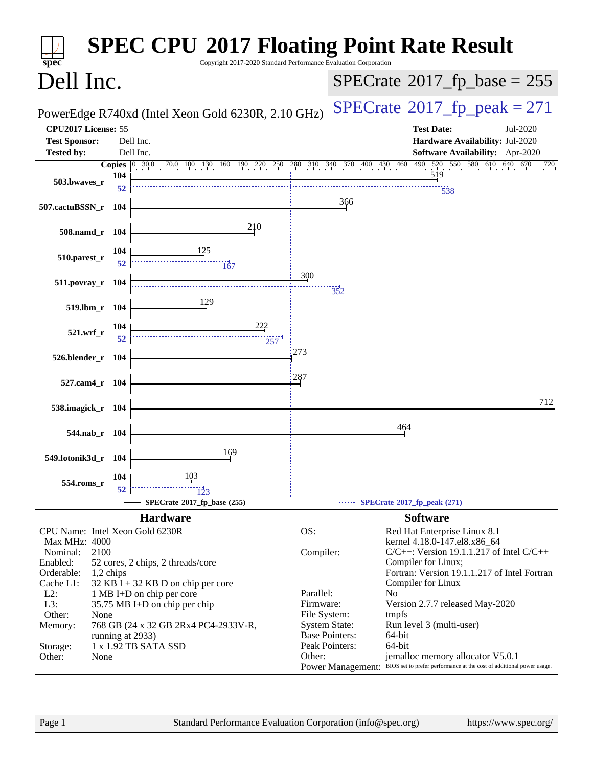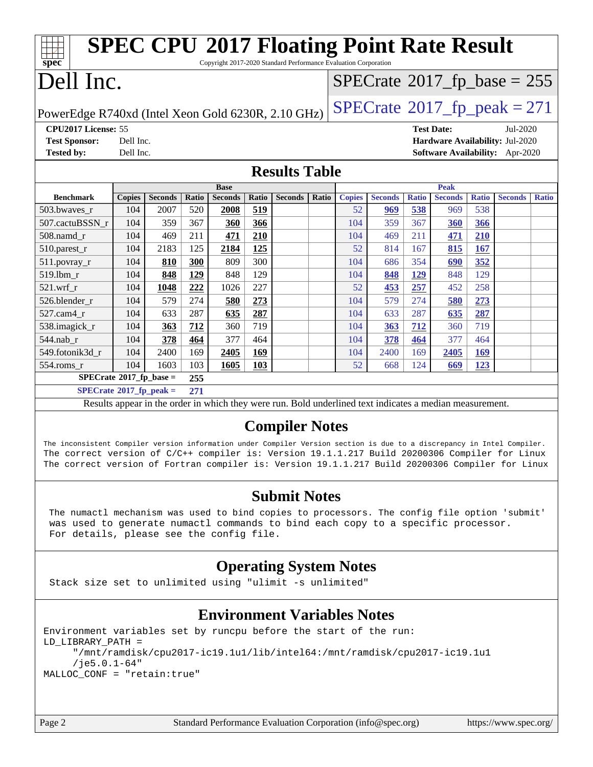| <b>SPEC CPU®2017 Floating Point Rate Result</b>                                                                                                                                                                                                                                                                                                        |                                                                                      |                |            |                    |            |                                                                                                          |       |               |                |              |                   |                                            |                                 |              |
|--------------------------------------------------------------------------------------------------------------------------------------------------------------------------------------------------------------------------------------------------------------------------------------------------------------------------------------------------------|--------------------------------------------------------------------------------------|----------------|------------|--------------------|------------|----------------------------------------------------------------------------------------------------------|-------|---------------|----------------|--------------|-------------------|--------------------------------------------|---------------------------------|--------------|
| $spec^*$                                                                                                                                                                                                                                                                                                                                               |                                                                                      |                |            |                    |            | Copyright 2017-2020 Standard Performance Evaluation Corporation                                          |       |               |                |              |                   |                                            |                                 |              |
|                                                                                                                                                                                                                                                                                                                                                        | Dell Inc.                                                                            |                |            |                    |            |                                                                                                          |       |               |                |              |                   | $SPECTate$ <sup>®</sup> 2017_fp_base = 255 |                                 |              |
|                                                                                                                                                                                                                                                                                                                                                        | $SPECTate@2017_fp\_peak = 271$<br>PowerEdge R740xd (Intel Xeon Gold 6230R, 2.10 GHz) |                |            |                    |            |                                                                                                          |       |               |                |              |                   |                                            |                                 |              |
| CPU2017 License: 55                                                                                                                                                                                                                                                                                                                                    |                                                                                      |                |            |                    |            |                                                                                                          |       |               |                |              | <b>Test Date:</b> |                                            | Jul-2020                        |              |
| <b>Test Sponsor:</b>                                                                                                                                                                                                                                                                                                                                   | Dell Inc.                                                                            |                |            |                    |            |                                                                                                          |       |               |                |              |                   |                                            | Hardware Availability: Jul-2020 |              |
| <b>Tested by:</b>                                                                                                                                                                                                                                                                                                                                      | Dell Inc.                                                                            |                |            |                    |            |                                                                                                          |       |               |                |              |                   |                                            | Software Availability: Apr-2020 |              |
|                                                                                                                                                                                                                                                                                                                                                        |                                                                                      |                |            |                    |            | <b>Results Table</b>                                                                                     |       |               |                |              |                   |                                            |                                 |              |
|                                                                                                                                                                                                                                                                                                                                                        |                                                                                      |                |            | <b>Base</b>        |            |                                                                                                          |       |               |                |              | <b>Peak</b>       |                                            |                                 |              |
| <b>Benchmark</b>                                                                                                                                                                                                                                                                                                                                       | <b>Copies</b>                                                                        | <b>Seconds</b> | Ratio      | <b>Seconds</b>     | Ratio      | <b>Seconds</b>                                                                                           | Ratio | <b>Copies</b> | <b>Seconds</b> | <b>Ratio</b> | <b>Seconds</b>    | <b>Ratio</b>                               | <b>Seconds</b>                  | <b>Ratio</b> |
| 503.bwaves_r<br>507.cactuBSSN_r                                                                                                                                                                                                                                                                                                                        | 104<br>104                                                                           | 2007<br>359    | 520<br>367 | 2008<br><b>360</b> | 519<br>366 |                                                                                                          |       | 52<br>104     | 969<br>359     | 538<br>367   | 969               | 538<br>366                                 |                                 |              |
| $508$ .namd_r                                                                                                                                                                                                                                                                                                                                          | 104                                                                                  | 469            | 211        | 471                | 210        |                                                                                                          |       | 104           | 469            | 211          | 360<br>471        | 210                                        |                                 |              |
| $510.parest_r$                                                                                                                                                                                                                                                                                                                                         | 104                                                                                  | 2183           | 125        | 2184               | 125        |                                                                                                          |       | 52            | 814            | 167          | 815               | 167                                        |                                 |              |
| $511.povray_r$                                                                                                                                                                                                                                                                                                                                         | 104                                                                                  | 810            | 300        | 809                | 300        |                                                                                                          |       | 104           | 686            | 354          | 690               | 352                                        |                                 |              |
| 519.1bm_r                                                                                                                                                                                                                                                                                                                                              | 104                                                                                  | 848            | 129        | 848                | 129        |                                                                                                          |       | 104           | 848            | 129          | 848               | 129                                        |                                 |              |
| 521.wrf r                                                                                                                                                                                                                                                                                                                                              | 104                                                                                  | 1048           | 222        | 1026               | 227        |                                                                                                          |       | 52            | 453            | 257          | 452               | 258                                        |                                 |              |
| 526.blender_r                                                                                                                                                                                                                                                                                                                                          | 104                                                                                  | 579            | 274        | 580                | 273        |                                                                                                          |       | 104           | 579            | 274          | 580               | 273                                        |                                 |              |
| 527.cam4_r                                                                                                                                                                                                                                                                                                                                             | 104                                                                                  | 633            | 287        | 635                | 287        |                                                                                                          |       | 104           | 633            | 287          | 635               | 287                                        |                                 |              |
| 538.imagick_r                                                                                                                                                                                                                                                                                                                                          | 104                                                                                  | 363            | 712        | 360                | 719        |                                                                                                          |       | 104           | 363            | 712          | 360               | 719                                        |                                 |              |
| 544.nab_r                                                                                                                                                                                                                                                                                                                                              | 104                                                                                  | 378            | 464        | 377                | 464        |                                                                                                          |       | 104           | <b>378</b>     | 464          | 377               | 464                                        |                                 |              |
| 549.fotonik3d_r                                                                                                                                                                                                                                                                                                                                        | 104                                                                                  | 2400           | 169        | 2405               | 169        |                                                                                                          |       | 104           | 2400           | 169          | 2405              | 169                                        |                                 |              |
| $554$ .roms_r                                                                                                                                                                                                                                                                                                                                          | 104                                                                                  | 1603           | 103        | 1605               | <b>103</b> |                                                                                                          |       | 52            | 668            | 124          | 669               | 123                                        |                                 |              |
| $SPECrate^{\circ}2017$ _fp_base =<br>255                                                                                                                                                                                                                                                                                                               |                                                                                      |                |            |                    |            |                                                                                                          |       |               |                |              |                   |                                            |                                 |              |
| $SPECrate^{\circ}2017$ _fp_peak =                                                                                                                                                                                                                                                                                                                      |                                                                                      |                | 271        |                    |            |                                                                                                          |       |               |                |              |                   |                                            |                                 |              |
|                                                                                                                                                                                                                                                                                                                                                        |                                                                                      |                |            |                    |            | Results appear in the order in which they were run. Bold underlined text indicates a median measurement. |       |               |                |              |                   |                                            |                                 |              |
| <b>Compiler Notes</b><br>The inconsistent Compiler version information under Compiler Version section is due to a discrepancy in Intel Compiler.<br>The correct version of C/C++ compiler is: Version 19.1.1.217 Build 20200306 Compiler for Linux<br>The correct version of Fortran compiler is: Version 19.1.1.217 Build 20200306 Compiler for Linux |                                                                                      |                |            |                    |            |                                                                                                          |       |               |                |              |                   |                                            |                                 |              |
| <b>Submit Notes</b><br>The numactl mechanism was used to bind copies to processors. The config file option 'submit'<br>was used to generate numactl commands to bind each copy to a specific processor.<br>For details, please see the config file.                                                                                                    |                                                                                      |                |            |                    |            |                                                                                                          |       |               |                |              |                   |                                            |                                 |              |
| <b>Operating System Notes</b>                                                                                                                                                                                                                                                                                                                          |                                                                                      |                |            |                    |            |                                                                                                          |       |               |                |              |                   |                                            |                                 |              |
| Stack size set to unlimited using "ulimit -s unlimited"                                                                                                                                                                                                                                                                                                |                                                                                      |                |            |                    |            |                                                                                                          |       |               |                |              |                   |                                            |                                 |              |

#### **[Environment Variables Notes](http://www.spec.org/auto/cpu2017/Docs/result-fields.html#EnvironmentVariablesNotes)**

Environment variables set by runcpu before the start of the run: LD\_LIBRARY\_PATH = "/mnt/ramdisk/cpu2017-ic19.1u1/lib/intel64:/mnt/ramdisk/cpu2017-ic19.1u1 /je5.0.1-64" MALLOC\_CONF = "retain:true"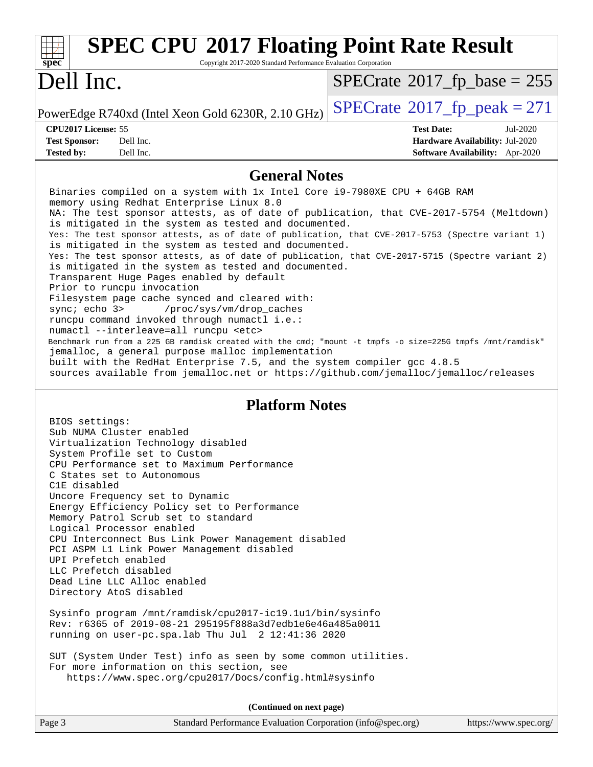| <b>SPEC CPU®2017 Floating Point Rate Result</b><br>spec<br>Copyright 2017-2020 Standard Performance Evaluation Corporation                                                   |                                       |
|------------------------------------------------------------------------------------------------------------------------------------------------------------------------------|---------------------------------------|
| Dell Inc.                                                                                                                                                                    | $SPECrate^{\circ}2017$ _fp_base = 255 |
| PowerEdge R740xd (Intel Xeon Gold 6230R, 2.10 GHz)                                                                                                                           | $SPECrate^{\circ}2017$ fp peak = 271  |
| CPU2017 License: 55                                                                                                                                                          | <b>Test Date:</b><br>Jul-2020         |
| Dell Inc.<br><b>Test Sponsor:</b>                                                                                                                                            | Hardware Availability: Jul-2020       |
| Dell Inc.<br><b>Tested by:</b>                                                                                                                                               | Software Availability: Apr-2020       |
| <b>General Notes</b>                                                                                                                                                         |                                       |
| Binaries compiled on a system with 1x Intel Core i9-7980XE CPU + 64GB RAM                                                                                                    |                                       |
| memory using Redhat Enterprise Linux 8.0                                                                                                                                     |                                       |
| NA: The test sponsor attests, as of date of publication, that CVE-2017-5754 (Meltdown)<br>is mitigated in the system as tested and documented.                               |                                       |
| Yes: The test sponsor attests, as of date of publication, that CVE-2017-5753 (Spectre variant 1)                                                                             |                                       |
| is mitigated in the system as tested and documented.                                                                                                                         |                                       |
| Yes: The test sponsor attests, as of date of publication, that CVE-2017-5715 (Spectre variant 2)<br>is mitigated in the system as tested and documented.                     |                                       |
| Transparent Huge Pages enabled by default                                                                                                                                    |                                       |
| Prior to runcpu invocation                                                                                                                                                   |                                       |
| Filesystem page cache synced and cleared with:                                                                                                                               |                                       |
| sync: echo 3> /proc/sys/vm/drop_caches<br>runcpu command invoked through numactl i.e.:                                                                                       |                                       |
| numactl --interleave=all runcpu <etc></etc>                                                                                                                                  |                                       |
| Benchmark run from a 225 GB ramdisk created with the cmd; "mount -t tmpfs -o size=225G tmpfs /mnt/ramdisk"                                                                   |                                       |
| jemalloc, a general purpose malloc implementation<br>built with the RedHat Enterprise 7.5, and the system compiler gcc 4.8.5                                                 |                                       |
| sources available from jemalloc.net or https://github.com/jemalloc/jemalloc/releases                                                                                         |                                       |
| <b>Platform Notes</b><br>BIOS settings:<br>Sub NUMA Cluster enabled                                                                                                          |                                       |
| Virtualization Technology disabled                                                                                                                                           |                                       |
| System Profile set to Custom                                                                                                                                                 |                                       |
| CPU Performance set to Maximum Performance<br>C States set to Autonomous                                                                                                     |                                       |
| C1E disabled                                                                                                                                                                 |                                       |
| Uncore Frequency set to Dynamic                                                                                                                                              |                                       |
| Energy Efficiency Policy set to Performance<br>Memory Patrol Scrub set to standard                                                                                           |                                       |
| Logical Processor enabled                                                                                                                                                    |                                       |
| CPU Interconnect Bus Link Power Management disabled                                                                                                                          |                                       |
| PCI ASPM L1 Link Power Management disabled<br>UPI Prefetch enabled                                                                                                           |                                       |
| LLC Prefetch disabled                                                                                                                                                        |                                       |
| Dead Line LLC Alloc enabled                                                                                                                                                  |                                       |
| Directory AtoS disabled                                                                                                                                                      |                                       |
| Sysinfo program /mnt/ramdisk/cpu2017-ic19.1u1/bin/sysinfo<br>Rev: r6365 of 2019-08-21 295195f888a3d7edble6e46a485a0011<br>running on user-pc.spa.lab Thu Jul 2 12:41:36 2020 |                                       |
|                                                                                                                                                                              |                                       |
| SUT (System Under Test) info as seen by some common utilities.                                                                                                               |                                       |
| For more information on this section, see<br>https://www.spec.org/cpu2017/Docs/config.html#sysinfo                                                                           |                                       |
|                                                                                                                                                                              |                                       |
| (Continued on next page)                                                                                                                                                     |                                       |
| Page 3<br>Standard Performance Evaluation Corporation (info@spec.org)                                                                                                        | https://www.spec.org/                 |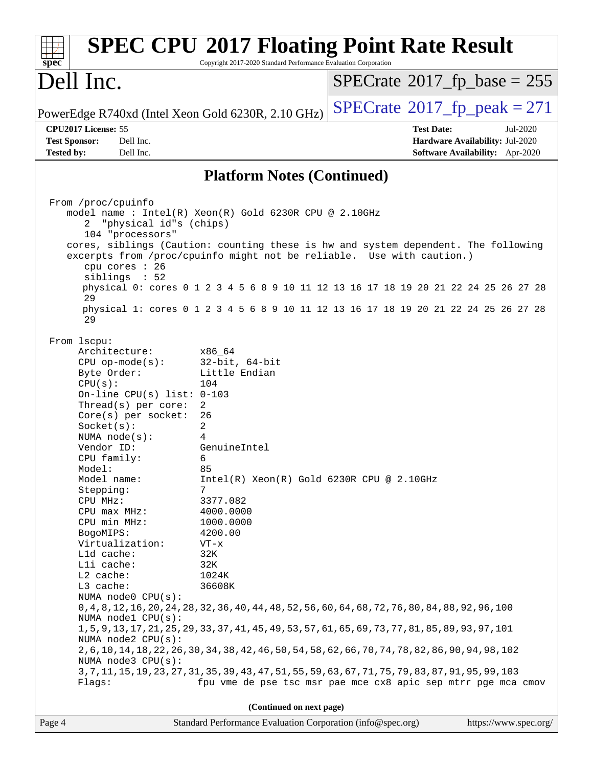| spec <sup>®</sup>                                                                                                                                                    |                                                                                                                                                                                                                                                                                                                                      | <b>SPEC CPU®2017 Floating Point Rate Result</b><br>Copyright 2017-2020 Standard Performance Evaluation Corporation                                                                                                                                                                                                                                                                                                                                                                                                                                                                                                                                                                                                                                                 |                                              |                                                                                |
|----------------------------------------------------------------------------------------------------------------------------------------------------------------------|--------------------------------------------------------------------------------------------------------------------------------------------------------------------------------------------------------------------------------------------------------------------------------------------------------------------------------------|--------------------------------------------------------------------------------------------------------------------------------------------------------------------------------------------------------------------------------------------------------------------------------------------------------------------------------------------------------------------------------------------------------------------------------------------------------------------------------------------------------------------------------------------------------------------------------------------------------------------------------------------------------------------------------------------------------------------------------------------------------------------|----------------------------------------------|--------------------------------------------------------------------------------|
| Dell Inc.                                                                                                                                                            |                                                                                                                                                                                                                                                                                                                                      |                                                                                                                                                                                                                                                                                                                                                                                                                                                                                                                                                                                                                                                                                                                                                                    | $SPECrate^{\circ}2017$ _fp_base = 255        |                                                                                |
|                                                                                                                                                                      |                                                                                                                                                                                                                                                                                                                                      | PowerEdge R740xd (Intel Xeon Gold 6230R, 2.10 GHz)                                                                                                                                                                                                                                                                                                                                                                                                                                                                                                                                                                                                                                                                                                                 | $SPECrate^{\circledcirc}2017$ _fp_peak = 271 |                                                                                |
| CPU2017 License: 55<br><b>Test Sponsor:</b><br><b>Tested by:</b>                                                                                                     | Dell Inc.<br>Dell Inc.                                                                                                                                                                                                                                                                                                               |                                                                                                                                                                                                                                                                                                                                                                                                                                                                                                                                                                                                                                                                                                                                                                    | <b>Test Date:</b>                            | Jul-2020<br>Hardware Availability: Jul-2020<br>Software Availability: Apr-2020 |
|                                                                                                                                                                      |                                                                                                                                                                                                                                                                                                                                      | <b>Platform Notes (Continued)</b>                                                                                                                                                                                                                                                                                                                                                                                                                                                                                                                                                                                                                                                                                                                                  |                                              |                                                                                |
|                                                                                                                                                                      |                                                                                                                                                                                                                                                                                                                                      |                                                                                                                                                                                                                                                                                                                                                                                                                                                                                                                                                                                                                                                                                                                                                                    |                                              |                                                                                |
| From /proc/cpuinfo<br>2                                                                                                                                              | "physical id"s (chips)<br>104 "processors"                                                                                                                                                                                                                                                                                           | model name : Intel(R) Xeon(R) Gold 6230R CPU @ 2.10GHz<br>cores, siblings (Caution: counting these is hw and system dependent. The following                                                                                                                                                                                                                                                                                                                                                                                                                                                                                                                                                                                                                       |                                              |                                                                                |
|                                                                                                                                                                      | cpu cores : 26<br>siblings : 52                                                                                                                                                                                                                                                                                                      | excerpts from /proc/cpuinfo might not be reliable. Use with caution.)                                                                                                                                                                                                                                                                                                                                                                                                                                                                                                                                                                                                                                                                                              |                                              |                                                                                |
| 29                                                                                                                                                                   |                                                                                                                                                                                                                                                                                                                                      | physical 0: cores 0 1 2 3 4 5 6 8 9 10 11 12 13 16 17 18 19 20 21 22 24 25 26 27 28                                                                                                                                                                                                                                                                                                                                                                                                                                                                                                                                                                                                                                                                                |                                              |                                                                                |
| 29                                                                                                                                                                   |                                                                                                                                                                                                                                                                                                                                      | physical 1: cores 0 1 2 3 4 5 6 8 9 10 11 12 13 16 17 18 19 20 21 22 24 25 26 27 28                                                                                                                                                                                                                                                                                                                                                                                                                                                                                                                                                                                                                                                                                |                                              |                                                                                |
| From 1scpu:<br>CPU(s):<br>Socket(s):<br>Vendor ID:<br>Model:<br>Stepping:<br>CPU MHz:<br>BogoMIPS:<br>Lld cache:<br>Lli cache:<br>$L2$ cache:<br>L3 cache:<br>Flags: | Architecture:<br>$CPU$ op-mode( $s$ ):<br>Byte Order:<br>On-line CPU(s) list: $0-103$<br>Thread(s) per core:<br>Core(s) per socket:<br>NUMA $node(s):$<br>CPU family:<br>Model name:<br>CPU max MHz:<br>CPU min MHz:<br>Virtualization:<br>NUMA node0 CPU(s):<br>NUMA nodel CPU(s):<br>NUMA $node2$ $CPU(s)$ :<br>NUMA node3 CPU(s): | x86 64<br>$32$ -bit, $64$ -bit<br>Little Endian<br>104<br>$\overline{2}$<br>26<br>2<br>4<br>GenuineIntel<br>6<br>85<br>Intel(R) Xeon(R) Gold 6230R CPU @ 2.10GHz<br>7<br>3377.082<br>4000.0000<br>1000.0000<br>4200.00<br>VT-x<br>32K<br>32K<br>1024K<br>36608K<br>0, 4, 8, 12, 16, 20, 24, 28, 32, 36, 40, 44, 48, 52, 56, 60, 64, 68, 72, 76, 80, 84, 88, 92, 96, 100<br>1, 5, 9, 13, 17, 21, 25, 29, 33, 37, 41, 45, 49, 53, 57, 61, 65, 69, 73, 77, 81, 85, 89, 93, 97, 101<br>2, 6, 10, 14, 18, 22, 26, 30, 34, 38, 42, 46, 50, 54, 58, 62, 66, 70, 74, 78, 82, 86, 90, 94, 98, 102<br>3, 7, 11, 15, 19, 23, 27, 31, 35, 39, 43, 47, 51, 55, 59, 63, 67, 71, 75, 79, 83, 87, 91, 95, 99, 103<br>fpu vme de pse tsc msr pae mce cx8 apic sep mtrr pge mca cmov |                                              |                                                                                |
|                                                                                                                                                                      |                                                                                                                                                                                                                                                                                                                                      | (Continued on next page)                                                                                                                                                                                                                                                                                                                                                                                                                                                                                                                                                                                                                                                                                                                                           |                                              |                                                                                |
| Page 4                                                                                                                                                               |                                                                                                                                                                                                                                                                                                                                      | Standard Performance Evaluation Corporation (info@spec.org)                                                                                                                                                                                                                                                                                                                                                                                                                                                                                                                                                                                                                                                                                                        |                                              | https://www.spec.org/                                                          |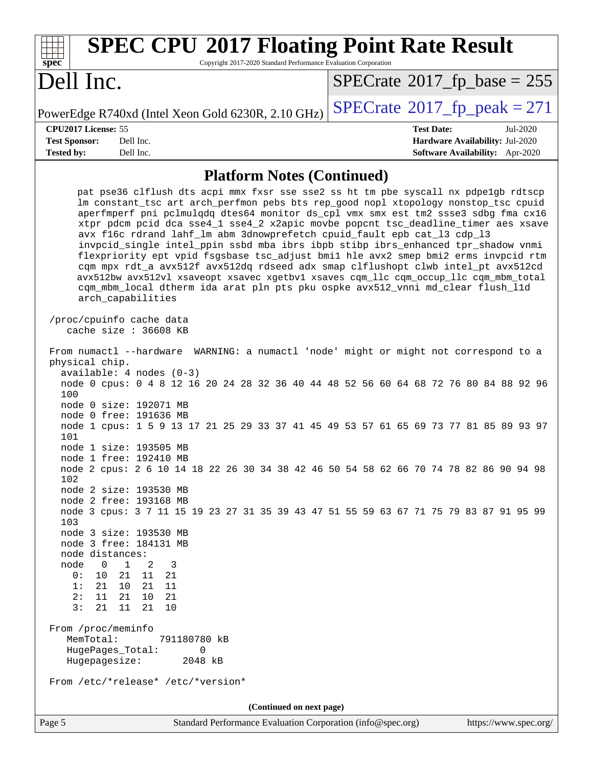| <b>SPEC CPU®2017 Floating Point Rate Result</b><br>Copyright 2017-2020 Standard Performance Evaluation Corporation<br>$spec^*$                                                                                                                                                                                                                                                                                                                                                                                                                                                                                                                                                                                                                                                                                                                                                                |                                                                                                            |
|-----------------------------------------------------------------------------------------------------------------------------------------------------------------------------------------------------------------------------------------------------------------------------------------------------------------------------------------------------------------------------------------------------------------------------------------------------------------------------------------------------------------------------------------------------------------------------------------------------------------------------------------------------------------------------------------------------------------------------------------------------------------------------------------------------------------------------------------------------------------------------------------------|------------------------------------------------------------------------------------------------------------|
| Dell Inc.                                                                                                                                                                                                                                                                                                                                                                                                                                                                                                                                                                                                                                                                                                                                                                                                                                                                                     | $SPECrate^{\circ}2017$ fp base = 255                                                                       |
| PowerEdge R740xd (Intel Xeon Gold 6230R, 2.10 GHz)                                                                                                                                                                                                                                                                                                                                                                                                                                                                                                                                                                                                                                                                                                                                                                                                                                            | $SPECTate@2017_fp\_peak = 271$                                                                             |
| CPU2017 License: 55<br>Dell Inc.<br><b>Test Sponsor:</b><br>Dell Inc.<br><b>Tested by:</b>                                                                                                                                                                                                                                                                                                                                                                                                                                                                                                                                                                                                                                                                                                                                                                                                    | <b>Test Date:</b><br>Jul-2020<br>Hardware Availability: Jul-2020<br><b>Software Availability:</b> Apr-2020 |
| <b>Platform Notes (Continued)</b>                                                                                                                                                                                                                                                                                                                                                                                                                                                                                                                                                                                                                                                                                                                                                                                                                                                             |                                                                                                            |
| pat pse36 clflush dts acpi mmx fxsr sse sse2 ss ht tm pbe syscall nx pdpelgb rdtscp<br>lm constant_tsc art arch_perfmon pebs bts rep_good nopl xtopology nonstop_tsc cpuid<br>aperfmperf pni pclmulqdq dtes64 monitor ds_cpl vmx smx est tm2 ssse3 sdbg fma cx16<br>xtpr pdcm pcid dca sse4_1 sse4_2 x2apic movbe popcnt tsc_deadline_timer aes xsave<br>avx f16c rdrand lahf_lm abm 3dnowprefetch cpuid_fault epb cat_13 cdp_13<br>invpcid_single intel_ppin ssbd mba ibrs ibpb stibp ibrs_enhanced tpr_shadow vnmi<br>flexpriority ept vpid fsgsbase tsc_adjust bmil hle avx2 smep bmi2 erms invpcid rtm<br>cqm mpx rdt_a avx512f avx512dq rdseed adx smap clflushopt clwb intel_pt avx512cd<br>avx512bw avx512vl xsaveopt xsavec xgetbvl xsaves cqm_llc cqm_occup_llc cqm_mbm_total<br>cqm_mbm_local dtherm ida arat pln pts pku ospke avx512_vnni md_clear flush_l1d<br>arch_capabilities |                                                                                                            |
| /proc/cpuinfo cache data<br>cache size $: 36608$ KB                                                                                                                                                                                                                                                                                                                                                                                                                                                                                                                                                                                                                                                                                                                                                                                                                                           |                                                                                                            |
| From numactl --hardware WARNING: a numactl 'node' might or might not correspond to a<br>physical chip.<br>$available: 4 nodes (0-3)$<br>node 0 cpus: 0 4 8 12 16 20 24 28 32 36 40 44 48 52 56 60 64 68 72 76 80 84 88 92 96<br>100                                                                                                                                                                                                                                                                                                                                                                                                                                                                                                                                                                                                                                                           |                                                                                                            |
| node 0 size: 192071 MB<br>node 0 free: 191636 MB<br>node 1 cpus: 1 5 9 13 17 21 25 29 33 37 41 45 49 53 57 61 65 69 73 77 81 85 89 93 97<br>101                                                                                                                                                                                                                                                                                                                                                                                                                                                                                                                                                                                                                                                                                                                                               |                                                                                                            |
| node 1 size: 193505 MB<br>node 1 free: 192410 MB<br>node 2 cpus: 2 6 10 14 18 22 26 30 34 38 42 46 50 54 58 62 66 70 74 78 82 86 90 94 98<br>102                                                                                                                                                                                                                                                                                                                                                                                                                                                                                                                                                                                                                                                                                                                                              |                                                                                                            |
| node 2 size: 193530 MB<br>node 2 free: 193168 MB<br>node 3 cpus: 3 7 11 15 19 23 27 31 35 39 43 47 51 55 59 63 67 71 75 79 83 87 91 95 99<br>103                                                                                                                                                                                                                                                                                                                                                                                                                                                                                                                                                                                                                                                                                                                                              |                                                                                                            |
| node 3 size: 193530 MB<br>node 3 free: 184131 MB<br>node distances:<br>node<br>$\mathbf{1}$<br>2<br>$\overline{0}$<br>3<br>21<br>11<br>0 :<br>10<br>- 21<br>1:<br>10<br>21<br>-11<br>21<br>21<br>21<br>2:<br>11<br>10<br>3:<br>21<br>11<br>21<br>10<br>From /proc/meminfo<br>MemTotal:<br>791180780 kB<br>HugePages_Total:<br>0<br>Hugepagesize:<br>2048 kB<br>From /etc/*release* /etc/*version*                                                                                                                                                                                                                                                                                                                                                                                                                                                                                             |                                                                                                            |
| (Continued on next page)                                                                                                                                                                                                                                                                                                                                                                                                                                                                                                                                                                                                                                                                                                                                                                                                                                                                      |                                                                                                            |
| Standard Performance Evaluation Corporation (info@spec.org)<br>Page 5                                                                                                                                                                                                                                                                                                                                                                                                                                                                                                                                                                                                                                                                                                                                                                                                                         | https://www.spec.org/                                                                                      |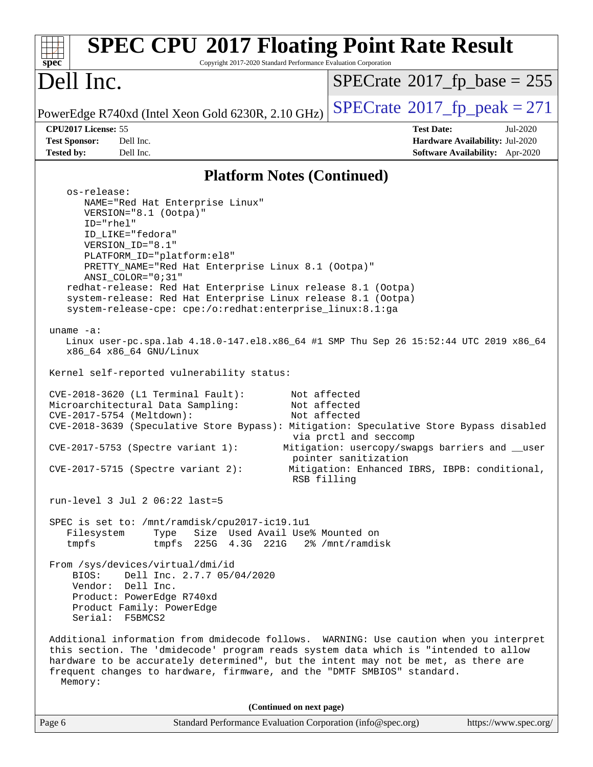| <b>SPEC CPU®2017 Floating Point Rate Result</b><br>Copyright 2017-2020 Standard Performance Evaluation Corporation<br>$spec^*$                                                                                                                                                                                                                                                                                                                                                                                                                                                                                        |                                                                                                                                                   |
|-----------------------------------------------------------------------------------------------------------------------------------------------------------------------------------------------------------------------------------------------------------------------------------------------------------------------------------------------------------------------------------------------------------------------------------------------------------------------------------------------------------------------------------------------------------------------------------------------------------------------|---------------------------------------------------------------------------------------------------------------------------------------------------|
| Dell Inc.                                                                                                                                                                                                                                                                                                                                                                                                                                                                                                                                                                                                             | $SPECTate@2017_fp\_base = 255$                                                                                                                    |
| PowerEdge R740xd (Intel Xeon Gold 6230R, 2.10 GHz)                                                                                                                                                                                                                                                                                                                                                                                                                                                                                                                                                                    | $SPECTate@2017_fp\_peak = 271$                                                                                                                    |
| CPU2017 License: 55<br><b>Test Sponsor:</b><br>Dell Inc.                                                                                                                                                                                                                                                                                                                                                                                                                                                                                                                                                              | <b>Test Date:</b><br>Jul-2020<br>Hardware Availability: Jul-2020                                                                                  |
| Dell Inc.<br><b>Tested by:</b>                                                                                                                                                                                                                                                                                                                                                                                                                                                                                                                                                                                        | Software Availability: Apr-2020                                                                                                                   |
| <b>Platform Notes (Continued)</b>                                                                                                                                                                                                                                                                                                                                                                                                                                                                                                                                                                                     |                                                                                                                                                   |
| os-release:<br>NAME="Red Hat Enterprise Linux"<br>VERSION="8.1 (Ootpa)"<br>ID="rhel"<br>ID LIKE="fedora"<br>VERSION_ID="8.1"<br>PLATFORM_ID="platform:el8"<br>PRETTY_NAME="Red Hat Enterprise Linux 8.1 (Ootpa)"<br>ANSI COLOR="0;31"<br>redhat-release: Red Hat Enterprise Linux release 8.1 (Ootpa)<br>system-release: Red Hat Enterprise Linux release 8.1 (Ootpa)<br>system-release-cpe: cpe:/o:redhat:enterprise_linux:8.1:ga<br>uname $-a$ :<br>Linux user-pc.spa.lab 4.18.0-147.el8.x86_64 #1 SMP Thu Sep 26 15:52:44 UTC 2019 x86_64<br>x86_64 x86_64 GNU/Linux<br>Kernel self-reported vulnerability status: |                                                                                                                                                   |
| CVE-2018-3620 (L1 Terminal Fault):<br>Not affected<br>Microarchitectural Data Sampling:<br>Not affected<br>CVE-2017-5754 (Meltdown):<br>Not affected<br>CVE-2018-3639 (Speculative Store Bypass): Mitigation: Speculative Store Bypass disabled<br>$CVE-2017-5753$ (Spectre variant 1):<br>$CVE-2017-5715$ (Spectre variant 2):<br>RSB filling                                                                                                                                                                                                                                                                        | via prctl and seccomp<br>Mitigation: usercopy/swapgs barriers and __user<br>pointer sanitization<br>Mitigation: Enhanced IBRS, IBPB: conditional, |
| run-level 3 Jul 2 06:22 last=5<br>SPEC is set to: /mnt/ramdisk/cpu2017-ic19.1u1<br>Size Used Avail Use% Mounted on<br>Type<br>Filesystem                                                                                                                                                                                                                                                                                                                                                                                                                                                                              |                                                                                                                                                   |
| tmpfs<br>tmpfs<br>225G 4.3G 221G<br>From /sys/devices/virtual/dmi/id<br>Dell Inc. 2.7.7 05/04/2020<br>BIOS:<br>Vendor: Dell Inc.<br>Product: PowerEdge R740xd<br>Product Family: PowerEdge<br>Serial: F5BMCS2<br>Additional information from dmidecode follows. WARNING: Use caution when you interpret<br>this section. The 'dmidecode' program reads system data which is "intended to allow<br>hardware to be accurately determined", but the intent may not be met, as there are                                                                                                                                  | 2% /mnt/ramdisk                                                                                                                                   |
| frequent changes to hardware, firmware, and the "DMTF SMBIOS" standard.<br>Memory:                                                                                                                                                                                                                                                                                                                                                                                                                                                                                                                                    |                                                                                                                                                   |
| (Continued on next page)                                                                                                                                                                                                                                                                                                                                                                                                                                                                                                                                                                                              |                                                                                                                                                   |
| Page 6<br>Standard Performance Evaluation Corporation (info@spec.org)                                                                                                                                                                                                                                                                                                                                                                                                                                                                                                                                                 | https://www.spec.org/                                                                                                                             |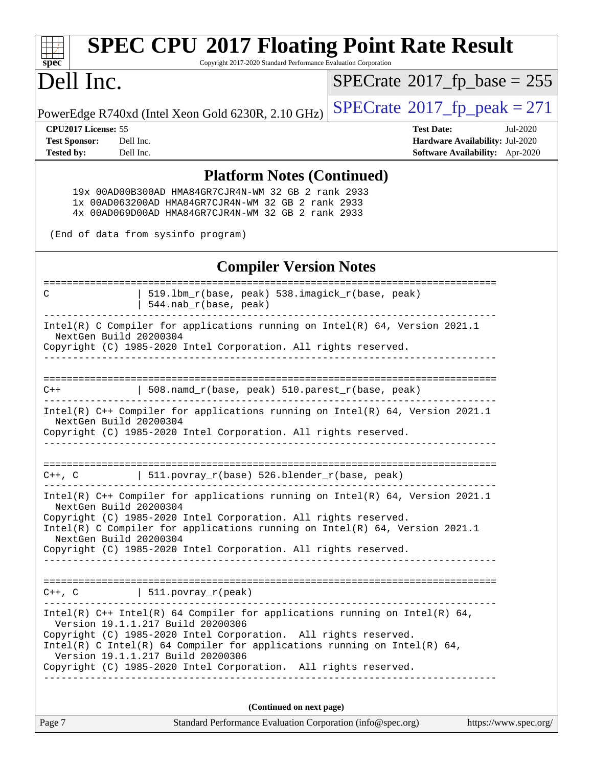| <b>SPEC CPU®2017 Floating Point Rate Result</b><br>Copyright 2017-2020 Standard Performance Evaluation Corporation<br>spec <sup>®</sup>                                                                                                    |                                       |  |  |  |
|--------------------------------------------------------------------------------------------------------------------------------------------------------------------------------------------------------------------------------------------|---------------------------------------|--|--|--|
| Dell Inc.                                                                                                                                                                                                                                  | $SPECrate^{\circ}2017$ _fp_base = 255 |  |  |  |
| PowerEdge R740xd (Intel Xeon Gold 6230R, 2.10 GHz)                                                                                                                                                                                         | $SPECrate^{\circ}2017$ _fp_peak = 271 |  |  |  |
| CPU2017 License: 55                                                                                                                                                                                                                        | <b>Test Date:</b><br>Jul-2020         |  |  |  |
| <b>Test Sponsor:</b><br>Dell Inc.                                                                                                                                                                                                          | Hardware Availability: Jul-2020       |  |  |  |
| Tested by:<br>Dell Inc.                                                                                                                                                                                                                    | Software Availability: Apr-2020       |  |  |  |
| <b>Platform Notes (Continued)</b><br>19x 00AD00B300AD HMA84GR7CJR4N-WM 32 GB 2 rank 2933<br>1x 00AD063200AD HMA84GR7CJR4N-WM 32 GB 2 rank 2933<br>4x 00AD069D00AD HMA84GR7CJR4N-WM 32 GB 2 rank 2933<br>(End of data from sysinfo program) |                                       |  |  |  |
| <b>Compiler Version Notes</b>                                                                                                                                                                                                              |                                       |  |  |  |
|                                                                                                                                                                                                                                            |                                       |  |  |  |
| 519.1bm_r(base, peak) 538.imagick_r(base, peak)<br>C<br>544.nab_r(base, peak)                                                                                                                                                              |                                       |  |  |  |
|                                                                                                                                                                                                                                            |                                       |  |  |  |
| Intel(R) C Compiler for applications running on Intel(R) 64, Version 2021.1<br>NextGen Build 20200304                                                                                                                                      |                                       |  |  |  |
| Copyright (C) 1985-2020 Intel Corporation. All rights reserved.                                                                                                                                                                            |                                       |  |  |  |
|                                                                                                                                                                                                                                            |                                       |  |  |  |
|                                                                                                                                                                                                                                            |                                       |  |  |  |
| 508.namd_r(base, peak) 510.parest_r(base, peak)<br>$C++$                                                                                                                                                                                   |                                       |  |  |  |
| Intel(R) C++ Compiler for applications running on Intel(R) 64, Version 2021.1                                                                                                                                                              |                                       |  |  |  |
| NextGen Build 20200304                                                                                                                                                                                                                     |                                       |  |  |  |
| Copyright (C) 1985-2020 Intel Corporation. All rights reserved.                                                                                                                                                                            |                                       |  |  |  |
|                                                                                                                                                                                                                                            |                                       |  |  |  |
|                                                                                                                                                                                                                                            |                                       |  |  |  |
| 511.povray_r(base) 526.blender_r(base, peak)<br>$C++$ , $C$                                                                                                                                                                                |                                       |  |  |  |
| Intel(R) $C++$ Compiler for applications running on Intel(R) 64, Version 2021.1                                                                                                                                                            |                                       |  |  |  |
| NextGen Build 20200304                                                                                                                                                                                                                     |                                       |  |  |  |
| Copyright (C) 1985-2020 Intel Corporation. All rights reserved.<br>Intel(R) C Compiler for applications running on Intel(R) $64$ , Version 2021.1                                                                                          |                                       |  |  |  |
| NextGen Build 20200304                                                                                                                                                                                                                     |                                       |  |  |  |
| Copyright (C) 1985-2020 Intel Corporation. All rights reserved.<br>______________________________________                                                                                                                                  |                                       |  |  |  |
|                                                                                                                                                                                                                                            |                                       |  |  |  |
|                                                                                                                                                                                                                                            |                                       |  |  |  |
| $C++$ , $C$   511.povray_r(peak)<br>________________________________                                                                                                                                                                       |                                       |  |  |  |
| Intel(R) $C++$ Intel(R) 64 Compiler for applications running on Intel(R) 64,<br>Version 19.1.1.217 Build 20200306                                                                                                                          |                                       |  |  |  |
| Copyright (C) 1985-2020 Intel Corporation. All rights reserved.                                                                                                                                                                            |                                       |  |  |  |
| Intel(R) C Intel(R) 64 Compiler for applications running on Intel(R) 64,<br>Version 19.1.1.217 Build 20200306                                                                                                                              |                                       |  |  |  |
| Copyright (C) 1985-2020 Intel Corporation. All rights reserved.                                                                                                                                                                            |                                       |  |  |  |
|                                                                                                                                                                                                                                            |                                       |  |  |  |
|                                                                                                                                                                                                                                            |                                       |  |  |  |
| (Continued on next page)                                                                                                                                                                                                                   |                                       |  |  |  |
| Page 7<br>Standard Performance Evaluation Corporation (info@spec.org)                                                                                                                                                                      | https://www.spec.org/                 |  |  |  |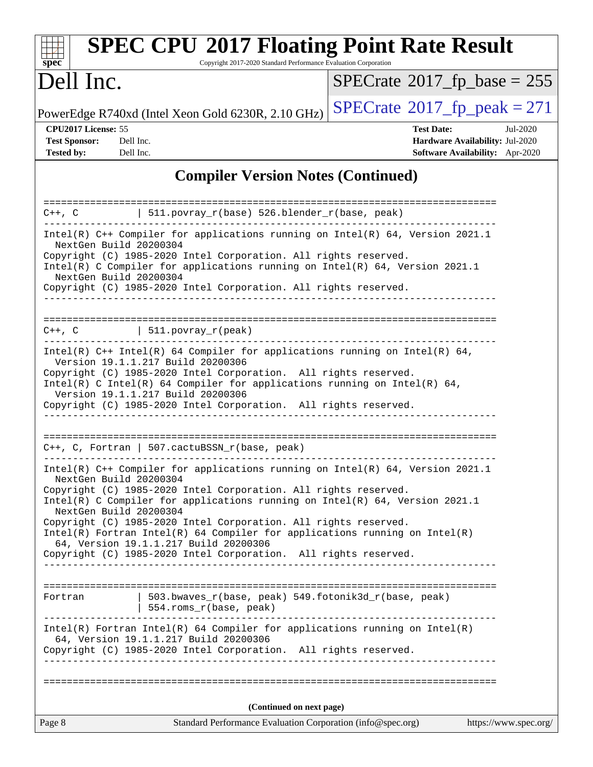| <b>SPEC CPU®2017 Floating Point Rate Result</b><br>spec <sup>®</sup><br>Copyright 2017-2020 Standard Performance Evaluation Corporation                                                                                                                                                                                                                                                                                                                                                                                                            |                                                                                                            |
|----------------------------------------------------------------------------------------------------------------------------------------------------------------------------------------------------------------------------------------------------------------------------------------------------------------------------------------------------------------------------------------------------------------------------------------------------------------------------------------------------------------------------------------------------|------------------------------------------------------------------------------------------------------------|
| Dell Inc.                                                                                                                                                                                                                                                                                                                                                                                                                                                                                                                                          | $SPECrate^{\circ}2017_fp\_base = 255$                                                                      |
| PowerEdge R740xd (Intel Xeon Gold 6230R, 2.10 GHz)                                                                                                                                                                                                                                                                                                                                                                                                                                                                                                 | $SPECTate@2017_fp\_peak = 271$                                                                             |
| CPU2017 License: 55<br><b>Test Sponsor:</b><br>Dell Inc.<br><b>Tested by:</b><br>Dell Inc.                                                                                                                                                                                                                                                                                                                                                                                                                                                         | <b>Test Date:</b><br>Jul-2020<br>Hardware Availability: Jul-2020<br><b>Software Availability:</b> Apr-2020 |
| <b>Compiler Version Notes (Continued)</b>                                                                                                                                                                                                                                                                                                                                                                                                                                                                                                          |                                                                                                            |
| =================<br>  $511.povray_r(base) 526.blender_r(base, peak)$<br>$C++$ , $C$                                                                                                                                                                                                                                                                                                                                                                                                                                                               | -------------------------------------                                                                      |
| Intel(R) C++ Compiler for applications running on Intel(R) 64, Version 2021.1<br>NextGen Build 20200304                                                                                                                                                                                                                                                                                                                                                                                                                                            |                                                                                                            |
| Copyright (C) 1985-2020 Intel Corporation. All rights reserved.<br>Intel(R) C Compiler for applications running on $Intel(R) 64$ , Version 2021.1<br>NextGen Build 20200304<br>Copyright (C) 1985-2020 Intel Corporation. All rights reserved.                                                                                                                                                                                                                                                                                                     |                                                                                                            |
|                                                                                                                                                                                                                                                                                                                                                                                                                                                                                                                                                    |                                                                                                            |
| $C++$ , $C$<br>$\vert$ 511.povray_r(peak)                                                                                                                                                                                                                                                                                                                                                                                                                                                                                                          |                                                                                                            |
| Intel(R) $C++$ Intel(R) 64 Compiler for applications running on Intel(R) 64,<br>Version 19.1.1.217 Build 20200306<br>Copyright (C) 1985-2020 Intel Corporation. All rights reserved.<br>Intel(R) C Intel(R) 64 Compiler for applications running on Intel(R) 64,<br>Version 19.1.1.217 Build 20200306<br>Copyright (C) 1985-2020 Intel Corporation. All rights reserved.                                                                                                                                                                           |                                                                                                            |
| C++, C, Fortran   507.cactuBSSN_r(base, peak)                                                                                                                                                                                                                                                                                                                                                                                                                                                                                                      |                                                                                                            |
| Intel(R) C++ Compiler for applications running on Intel(R) 64, Version 2021.1<br>NextGen Build 20200304<br>Copyright (C) 1985-2020 Intel Corporation. All rights reserved.<br>Intel(R) C Compiler for applications running on Intel(R) 64, Version 2021.1<br>NextGen Build 20200304<br>Copyright (C) 1985-2020 Intel Corporation. All rights reserved.<br>$Intel(R)$ Fortran Intel(R) 64 Compiler for applications running on Intel(R)<br>64, Version 19.1.1.217 Build 20200306<br>Copyright (C) 1985-2020 Intel Corporation. All rights reserved. |                                                                                                            |
| 503.bwaves_r(base, peak) 549.fotonik3d_r(base, peak)<br>Fortran<br>554.roms_r(base, peak)                                                                                                                                                                                                                                                                                                                                                                                                                                                          |                                                                                                            |
| $Intel(R)$ Fortran Intel(R) 64 Compiler for applications running on Intel(R)<br>64, Version 19.1.1.217 Build 20200306<br>Copyright (C) 1985-2020 Intel Corporation. All rights reserved.                                                                                                                                                                                                                                                                                                                                                           |                                                                                                            |
|                                                                                                                                                                                                                                                                                                                                                                                                                                                                                                                                                    |                                                                                                            |
| (Continued on next page)<br>Page 8<br>Standard Performance Evaluation Corporation (info@spec.org)                                                                                                                                                                                                                                                                                                                                                                                                                                                  | https://www.spec.org/                                                                                      |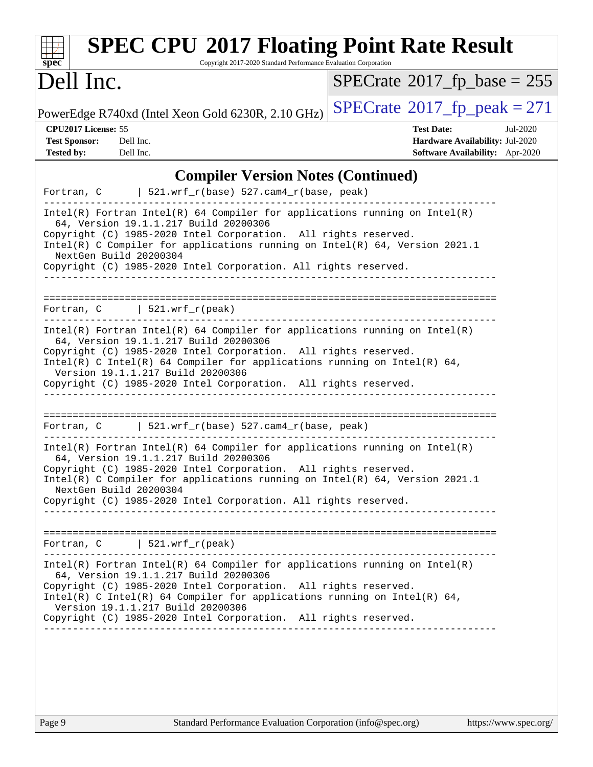| <b>SPEC CPU®2017 Floating Point Rate Result</b><br>Copyright 2017-2020 Standard Performance Evaluation Corporation<br>spec <sup>®</sup>                                                                                                                                                                                                                                        |                                                                                                     |
|--------------------------------------------------------------------------------------------------------------------------------------------------------------------------------------------------------------------------------------------------------------------------------------------------------------------------------------------------------------------------------|-----------------------------------------------------------------------------------------------------|
| Dell Inc.                                                                                                                                                                                                                                                                                                                                                                      | $SPECrate^{\circ}2017$ fp base = 255                                                                |
| PowerEdge R740xd (Intel Xeon Gold 6230R, 2.10 GHz)                                                                                                                                                                                                                                                                                                                             | $SPECrate^{\circ}2017$ _fp_peak = 271                                                               |
| CPU2017 License: 55<br><b>Test Sponsor:</b><br>Dell Inc.<br><b>Tested by:</b><br>Dell Inc.                                                                                                                                                                                                                                                                                     | <b>Test Date:</b><br>Jul-2020<br>Hardware Availability: Jul-2020<br>Software Availability: Apr-2020 |
| <b>Compiler Version Notes (Continued)</b><br>Fortran, $C$   521.wrf_r(base) 527.cam4_r(base, peak)                                                                                                                                                                                                                                                                             |                                                                                                     |
| $Intel(R)$ Fortran Intel(R) 64 Compiler for applications running on Intel(R)<br>64, Version 19.1.1.217 Build 20200306<br>Copyright (C) 1985-2020 Intel Corporation. All rights reserved.<br>Intel(R) C Compiler for applications running on Intel(R) 64, Version 2021.1<br>NextGen Build 20200304<br>Copyright (C) 1985-2020 Intel Corporation. All rights reserved.           |                                                                                                     |
| Fortran, $C$   521.wrf_r(peak)                                                                                                                                                                                                                                                                                                                                                 |                                                                                                     |
| $Intel(R)$ Fortran Intel(R) 64 Compiler for applications running on Intel(R)<br>64, Version 19.1.1.217 Build 20200306<br>Copyright (C) 1985-2020 Intel Corporation. All rights reserved.<br>$Intel(R)$ C Intel(R) 64 Compiler for applications running on Intel(R) 64,<br>Version 19.1.1.217 Build 20200306<br>Copyright (C) 1985-2020 Intel Corporation. All rights reserved. |                                                                                                     |
| Fortran, C $\vert$ 521.wrf_r(base) 527.cam4_r(base, peak)                                                                                                                                                                                                                                                                                                                      |                                                                                                     |
| $Intel(R)$ Fortran Intel(R) 64 Compiler for applications running on Intel(R)<br>64, Version 19.1.1.217 Build 20200306<br>Copyright (C) 1985-2020 Intel Corporation. All rights reserved.<br>Intel(R) C Compiler for applications running on Intel(R) 64, Version 2021.1<br>NextGen Build 20200304<br>Copyright (C) 1985-2020 Intel Corporation. All rights reserved.           |                                                                                                     |
| Fortran, $C$   521.wrf_r(peak)                                                                                                                                                                                                                                                                                                                                                 |                                                                                                     |
| $Intel(R)$ Fortran Intel(R) 64 Compiler for applications running on Intel(R)<br>64, Version 19.1.1.217 Build 20200306<br>Copyright (C) 1985-2020 Intel Corporation. All rights reserved.<br>Intel(R) C Intel(R) 64 Compiler for applications running on Intel(R) 64,<br>Version 19.1.1.217 Build 20200306<br>Copyright (C) 1985-2020 Intel Corporation. All rights reserved.   |                                                                                                     |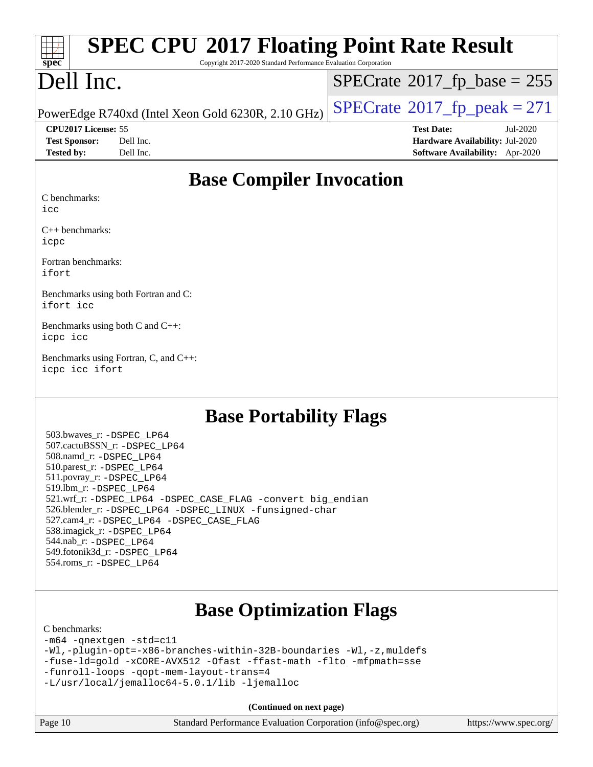| $\begin{array}{ c c c }\n\hline\n\text{spec}^*\n\end{array}$<br><b>SPEC CPU®2017 Floating Point Rate Result</b><br>Copyright 2017-2020 Standard Performance Evaluation Corporation |                                      |
|------------------------------------------------------------------------------------------------------------------------------------------------------------------------------------|--------------------------------------|
| Dell Inc.                                                                                                                                                                          | $SPECrate^{\circ}2017$ fp base = 255 |
| PowerEdge R740xd (Intel Xeon Gold 6230R, 2.10 GHz) $\vert$ SPECrate®2017_fp_peak = 271                                                                                             |                                      |

**[CPU2017 License:](http://www.spec.org/auto/cpu2017/Docs/result-fields.html#CPU2017License)** 55 **[Test Date:](http://www.spec.org/auto/cpu2017/Docs/result-fields.html#TestDate)** Jul-2020 **[Test Sponsor:](http://www.spec.org/auto/cpu2017/Docs/result-fields.html#TestSponsor)** Dell Inc. **[Hardware Availability:](http://www.spec.org/auto/cpu2017/Docs/result-fields.html#HardwareAvailability)** Jul-2020 **[Tested by:](http://www.spec.org/auto/cpu2017/Docs/result-fields.html#Testedby)** Dell Inc. **[Software Availability:](http://www.spec.org/auto/cpu2017/Docs/result-fields.html#SoftwareAvailability)** Apr-2020

### **[Base Compiler Invocation](http://www.spec.org/auto/cpu2017/Docs/result-fields.html#BaseCompilerInvocation)**

[C benchmarks:](http://www.spec.org/auto/cpu2017/Docs/result-fields.html#Cbenchmarks)

[icc](http://www.spec.org/cpu2017/results/res2020q3/cpu2017-20200707-23419.flags.html#user_CCbase_intel_icc_66fc1ee009f7361af1fbd72ca7dcefbb700085f36577c54f309893dd4ec40d12360134090235512931783d35fd58c0460139e722d5067c5574d8eaf2b3e37e92)

[C++ benchmarks:](http://www.spec.org/auto/cpu2017/Docs/result-fields.html#CXXbenchmarks) [icpc](http://www.spec.org/cpu2017/results/res2020q3/cpu2017-20200707-23419.flags.html#user_CXXbase_intel_icpc_c510b6838c7f56d33e37e94d029a35b4a7bccf4766a728ee175e80a419847e808290a9b78be685c44ab727ea267ec2f070ec5dc83b407c0218cded6866a35d07)

[Fortran benchmarks](http://www.spec.org/auto/cpu2017/Docs/result-fields.html#Fortranbenchmarks): [ifort](http://www.spec.org/cpu2017/results/res2020q3/cpu2017-20200707-23419.flags.html#user_FCbase_intel_ifort_8111460550e3ca792625aed983ce982f94888b8b503583aa7ba2b8303487b4d8a21a13e7191a45c5fd58ff318f48f9492884d4413fa793fd88dd292cad7027ca)

[Benchmarks using both Fortran and C:](http://www.spec.org/auto/cpu2017/Docs/result-fields.html#BenchmarksusingbothFortranandC) [ifort](http://www.spec.org/cpu2017/results/res2020q3/cpu2017-20200707-23419.flags.html#user_CC_FCbase_intel_ifort_8111460550e3ca792625aed983ce982f94888b8b503583aa7ba2b8303487b4d8a21a13e7191a45c5fd58ff318f48f9492884d4413fa793fd88dd292cad7027ca) [icc](http://www.spec.org/cpu2017/results/res2020q3/cpu2017-20200707-23419.flags.html#user_CC_FCbase_intel_icc_66fc1ee009f7361af1fbd72ca7dcefbb700085f36577c54f309893dd4ec40d12360134090235512931783d35fd58c0460139e722d5067c5574d8eaf2b3e37e92)

[Benchmarks using both C and C++](http://www.spec.org/auto/cpu2017/Docs/result-fields.html#BenchmarksusingbothCandCXX): [icpc](http://www.spec.org/cpu2017/results/res2020q3/cpu2017-20200707-23419.flags.html#user_CC_CXXbase_intel_icpc_c510b6838c7f56d33e37e94d029a35b4a7bccf4766a728ee175e80a419847e808290a9b78be685c44ab727ea267ec2f070ec5dc83b407c0218cded6866a35d07) [icc](http://www.spec.org/cpu2017/results/res2020q3/cpu2017-20200707-23419.flags.html#user_CC_CXXbase_intel_icc_66fc1ee009f7361af1fbd72ca7dcefbb700085f36577c54f309893dd4ec40d12360134090235512931783d35fd58c0460139e722d5067c5574d8eaf2b3e37e92)

[Benchmarks using Fortran, C, and C++:](http://www.spec.org/auto/cpu2017/Docs/result-fields.html#BenchmarksusingFortranCandCXX) [icpc](http://www.spec.org/cpu2017/results/res2020q3/cpu2017-20200707-23419.flags.html#user_CC_CXX_FCbase_intel_icpc_c510b6838c7f56d33e37e94d029a35b4a7bccf4766a728ee175e80a419847e808290a9b78be685c44ab727ea267ec2f070ec5dc83b407c0218cded6866a35d07) [icc](http://www.spec.org/cpu2017/results/res2020q3/cpu2017-20200707-23419.flags.html#user_CC_CXX_FCbase_intel_icc_66fc1ee009f7361af1fbd72ca7dcefbb700085f36577c54f309893dd4ec40d12360134090235512931783d35fd58c0460139e722d5067c5574d8eaf2b3e37e92) [ifort](http://www.spec.org/cpu2017/results/res2020q3/cpu2017-20200707-23419.flags.html#user_CC_CXX_FCbase_intel_ifort_8111460550e3ca792625aed983ce982f94888b8b503583aa7ba2b8303487b4d8a21a13e7191a45c5fd58ff318f48f9492884d4413fa793fd88dd292cad7027ca)

### **[Base Portability Flags](http://www.spec.org/auto/cpu2017/Docs/result-fields.html#BasePortabilityFlags)**

 503.bwaves\_r: [-DSPEC\\_LP64](http://www.spec.org/cpu2017/results/res2020q3/cpu2017-20200707-23419.flags.html#suite_basePORTABILITY503_bwaves_r_DSPEC_LP64) 507.cactuBSSN\_r: [-DSPEC\\_LP64](http://www.spec.org/cpu2017/results/res2020q3/cpu2017-20200707-23419.flags.html#suite_basePORTABILITY507_cactuBSSN_r_DSPEC_LP64) 508.namd\_r: [-DSPEC\\_LP64](http://www.spec.org/cpu2017/results/res2020q3/cpu2017-20200707-23419.flags.html#suite_basePORTABILITY508_namd_r_DSPEC_LP64) 510.parest\_r: [-DSPEC\\_LP64](http://www.spec.org/cpu2017/results/res2020q3/cpu2017-20200707-23419.flags.html#suite_basePORTABILITY510_parest_r_DSPEC_LP64) 511.povray\_r: [-DSPEC\\_LP64](http://www.spec.org/cpu2017/results/res2020q3/cpu2017-20200707-23419.flags.html#suite_basePORTABILITY511_povray_r_DSPEC_LP64) 519.lbm\_r: [-DSPEC\\_LP64](http://www.spec.org/cpu2017/results/res2020q3/cpu2017-20200707-23419.flags.html#suite_basePORTABILITY519_lbm_r_DSPEC_LP64) 521.wrf\_r: [-DSPEC\\_LP64](http://www.spec.org/cpu2017/results/res2020q3/cpu2017-20200707-23419.flags.html#suite_basePORTABILITY521_wrf_r_DSPEC_LP64) [-DSPEC\\_CASE\\_FLAG](http://www.spec.org/cpu2017/results/res2020q3/cpu2017-20200707-23419.flags.html#b521.wrf_r_baseCPORTABILITY_DSPEC_CASE_FLAG) [-convert big\\_endian](http://www.spec.org/cpu2017/results/res2020q3/cpu2017-20200707-23419.flags.html#user_baseFPORTABILITY521_wrf_r_convert_big_endian_c3194028bc08c63ac5d04de18c48ce6d347e4e562e8892b8bdbdc0214820426deb8554edfa529a3fb25a586e65a3d812c835984020483e7e73212c4d31a38223) 526.blender\_r: [-DSPEC\\_LP64](http://www.spec.org/cpu2017/results/res2020q3/cpu2017-20200707-23419.flags.html#suite_basePORTABILITY526_blender_r_DSPEC_LP64) [-DSPEC\\_LINUX](http://www.spec.org/cpu2017/results/res2020q3/cpu2017-20200707-23419.flags.html#b526.blender_r_baseCPORTABILITY_DSPEC_LINUX) [-funsigned-char](http://www.spec.org/cpu2017/results/res2020q3/cpu2017-20200707-23419.flags.html#user_baseCPORTABILITY526_blender_r_force_uchar_40c60f00ab013830e2dd6774aeded3ff59883ba5a1fc5fc14077f794d777847726e2a5858cbc7672e36e1b067e7e5c1d9a74f7176df07886a243d7cc18edfe67) 527.cam4\_r: [-DSPEC\\_LP64](http://www.spec.org/cpu2017/results/res2020q3/cpu2017-20200707-23419.flags.html#suite_basePORTABILITY527_cam4_r_DSPEC_LP64) [-DSPEC\\_CASE\\_FLAG](http://www.spec.org/cpu2017/results/res2020q3/cpu2017-20200707-23419.flags.html#b527.cam4_r_baseCPORTABILITY_DSPEC_CASE_FLAG) 538.imagick\_r: [-DSPEC\\_LP64](http://www.spec.org/cpu2017/results/res2020q3/cpu2017-20200707-23419.flags.html#suite_basePORTABILITY538_imagick_r_DSPEC_LP64) 544.nab\_r: [-DSPEC\\_LP64](http://www.spec.org/cpu2017/results/res2020q3/cpu2017-20200707-23419.flags.html#suite_basePORTABILITY544_nab_r_DSPEC_LP64) 549.fotonik3d\_r: [-DSPEC\\_LP64](http://www.spec.org/cpu2017/results/res2020q3/cpu2017-20200707-23419.flags.html#suite_basePORTABILITY549_fotonik3d_r_DSPEC_LP64) 554.roms\_r: [-DSPEC\\_LP64](http://www.spec.org/cpu2017/results/res2020q3/cpu2017-20200707-23419.flags.html#suite_basePORTABILITY554_roms_r_DSPEC_LP64)

# **[Base Optimization Flags](http://www.spec.org/auto/cpu2017/Docs/result-fields.html#BaseOptimizationFlags)**

#### [C benchmarks](http://www.spec.org/auto/cpu2017/Docs/result-fields.html#Cbenchmarks):

[-m64](http://www.spec.org/cpu2017/results/res2020q3/cpu2017-20200707-23419.flags.html#user_CCbase_m64-icc) [-qnextgen](http://www.spec.org/cpu2017/results/res2020q3/cpu2017-20200707-23419.flags.html#user_CCbase_f-qnextgen) [-std=c11](http://www.spec.org/cpu2017/results/res2020q3/cpu2017-20200707-23419.flags.html#user_CCbase_std-icc-std_0e1c27790398a4642dfca32ffe6c27b5796f9c2d2676156f2e42c9c44eaad0c049b1cdb667a270c34d979996257aeb8fc440bfb01818dbc9357bd9d174cb8524) [-Wl,-plugin-opt=-x86-branches-within-32B-boundaries](http://www.spec.org/cpu2017/results/res2020q3/cpu2017-20200707-23419.flags.html#user_CCbase_f-x86-branches-within-32B-boundaries_0098b4e4317ae60947b7b728078a624952a08ac37a3c797dfb4ffeb399e0c61a9dd0f2f44ce917e9361fb9076ccb15e7824594512dd315205382d84209e912f3) [-Wl,-z,muldefs](http://www.spec.org/cpu2017/results/res2020q3/cpu2017-20200707-23419.flags.html#user_CCbase_link_force_multiple1_b4cbdb97b34bdee9ceefcfe54f4c8ea74255f0b02a4b23e853cdb0e18eb4525ac79b5a88067c842dd0ee6996c24547a27a4b99331201badda8798ef8a743f577) [-fuse-ld=gold](http://www.spec.org/cpu2017/results/res2020q3/cpu2017-20200707-23419.flags.html#user_CCbase_f-fuse-ld_920b3586e2b8c6e0748b9c84fa9b744736ba725a32cab14ad8f3d4ad28eecb2f59d1144823d2e17006539a88734fe1fc08fc3035f7676166309105a78aaabc32) [-xCORE-AVX512](http://www.spec.org/cpu2017/results/res2020q3/cpu2017-20200707-23419.flags.html#user_CCbase_f-xCORE-AVX512) [-Ofast](http://www.spec.org/cpu2017/results/res2020q3/cpu2017-20200707-23419.flags.html#user_CCbase_f-Ofast) [-ffast-math](http://www.spec.org/cpu2017/results/res2020q3/cpu2017-20200707-23419.flags.html#user_CCbase_f-ffast-math) [-flto](http://www.spec.org/cpu2017/results/res2020q3/cpu2017-20200707-23419.flags.html#user_CCbase_f-flto) [-mfpmath=sse](http://www.spec.org/cpu2017/results/res2020q3/cpu2017-20200707-23419.flags.html#user_CCbase_f-mfpmath_70eb8fac26bde974f8ab713bc9086c5621c0b8d2f6c86f38af0bd7062540daf19db5f3a066d8c6684be05d84c9b6322eb3b5be6619d967835195b93d6c02afa1) [-funroll-loops](http://www.spec.org/cpu2017/results/res2020q3/cpu2017-20200707-23419.flags.html#user_CCbase_f-funroll-loops) [-qopt-mem-layout-trans=4](http://www.spec.org/cpu2017/results/res2020q3/cpu2017-20200707-23419.flags.html#user_CCbase_f-qopt-mem-layout-trans_fa39e755916c150a61361b7846f310bcdf6f04e385ef281cadf3647acec3f0ae266d1a1d22d972a7087a248fd4e6ca390a3634700869573d231a252c784941a8) [-L/usr/local/jemalloc64-5.0.1/lib](http://www.spec.org/cpu2017/results/res2020q3/cpu2017-20200707-23419.flags.html#user_CCbase_jemalloc_link_path64_1_cc289568b1a6c0fd3b62c91b824c27fcb5af5e8098e6ad028160d21144ef1b8aef3170d2acf0bee98a8da324cfe4f67d0a3d0c4cc4673d993d694dc2a0df248b) [-ljemalloc](http://www.spec.org/cpu2017/results/res2020q3/cpu2017-20200707-23419.flags.html#user_CCbase_jemalloc_link_lib_d1249b907c500fa1c0672f44f562e3d0f79738ae9e3c4a9c376d49f265a04b9c99b167ecedbf6711b3085be911c67ff61f150a17b3472be731631ba4d0471706)

**(Continued on next page)**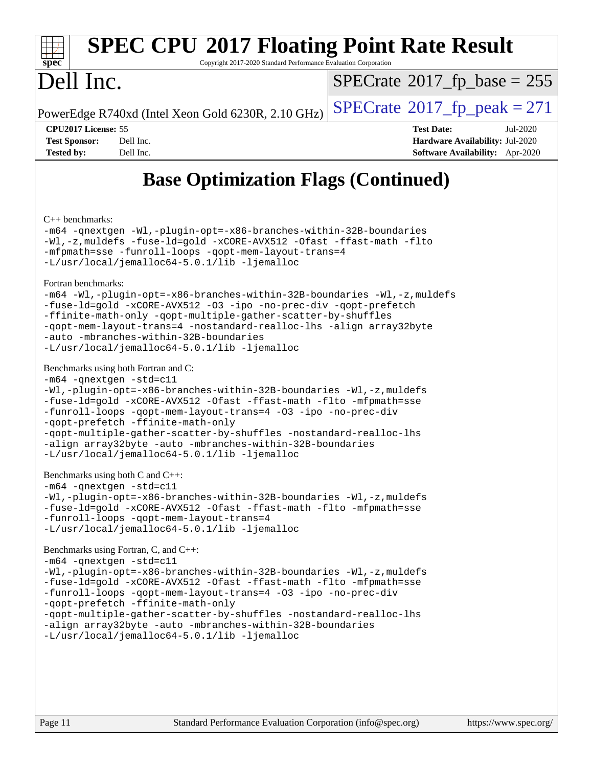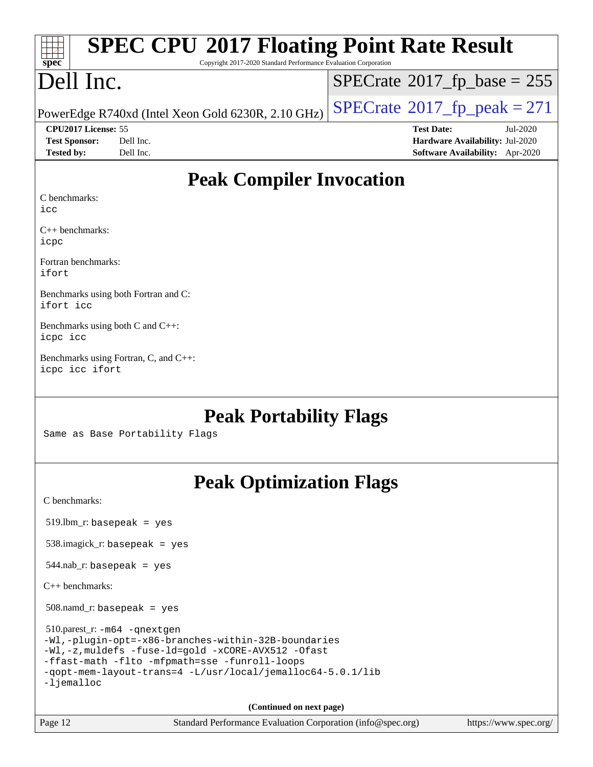| $spec^*$                     | <b>SPEC CPU®2017 Floating Point Rate Result</b><br>Copyright 2017-2020 Standard Performance Evaluation Corporation |                                        |
|------------------------------|--------------------------------------------------------------------------------------------------------------------|----------------------------------------|
| Dell Inc.                    |                                                                                                                    | $SPECrate^{\circ}2017$ fp base = 255   |
|                              | PowerEdge R740xd (Intel Xeon Gold 6230R, 2.10 GHz)                                                                 | $SPECrate^{\circ}2017$ fp peak = 271   |
| CPU2017 License: 55          |                                                                                                                    | <b>Test Date:</b><br>Jul-2020          |
| <b>Test Sponsor:</b>         | Dell Inc.                                                                                                          | Hardware Availability: Jul-2020        |
| <b>Tested by:</b>            | Dell Inc.                                                                                                          | <b>Software Availability:</b> Apr-2020 |
| C benchmarks:<br>icc         | <b>Peak Compiler Invocation</b>                                                                                    |                                        |
| $C_{++}$ benchmarks:<br>icpc |                                                                                                                    |                                        |
| Fortran benchmarks:<br>ifort |                                                                                                                    |                                        |

[Benchmarks using both Fortran and C:](http://www.spec.org/auto/cpu2017/Docs/result-fields.html#BenchmarksusingbothFortranandC) [ifort](http://www.spec.org/cpu2017/results/res2020q3/cpu2017-20200707-23419.flags.html#user_CC_FCpeak_intel_ifort_8111460550e3ca792625aed983ce982f94888b8b503583aa7ba2b8303487b4d8a21a13e7191a45c5fd58ff318f48f9492884d4413fa793fd88dd292cad7027ca) [icc](http://www.spec.org/cpu2017/results/res2020q3/cpu2017-20200707-23419.flags.html#user_CC_FCpeak_intel_icc_66fc1ee009f7361af1fbd72ca7dcefbb700085f36577c54f309893dd4ec40d12360134090235512931783d35fd58c0460139e722d5067c5574d8eaf2b3e37e92)

[Benchmarks using both C and C++](http://www.spec.org/auto/cpu2017/Docs/result-fields.html#BenchmarksusingbothCandCXX): [icpc](http://www.spec.org/cpu2017/results/res2020q3/cpu2017-20200707-23419.flags.html#user_CC_CXXpeak_intel_icpc_c510b6838c7f56d33e37e94d029a35b4a7bccf4766a728ee175e80a419847e808290a9b78be685c44ab727ea267ec2f070ec5dc83b407c0218cded6866a35d07) [icc](http://www.spec.org/cpu2017/results/res2020q3/cpu2017-20200707-23419.flags.html#user_CC_CXXpeak_intel_icc_66fc1ee009f7361af1fbd72ca7dcefbb700085f36577c54f309893dd4ec40d12360134090235512931783d35fd58c0460139e722d5067c5574d8eaf2b3e37e92)

[Benchmarks using Fortran, C, and C++:](http://www.spec.org/auto/cpu2017/Docs/result-fields.html#BenchmarksusingFortranCandCXX) [icpc](http://www.spec.org/cpu2017/results/res2020q3/cpu2017-20200707-23419.flags.html#user_CC_CXX_FCpeak_intel_icpc_c510b6838c7f56d33e37e94d029a35b4a7bccf4766a728ee175e80a419847e808290a9b78be685c44ab727ea267ec2f070ec5dc83b407c0218cded6866a35d07) [icc](http://www.spec.org/cpu2017/results/res2020q3/cpu2017-20200707-23419.flags.html#user_CC_CXX_FCpeak_intel_icc_66fc1ee009f7361af1fbd72ca7dcefbb700085f36577c54f309893dd4ec40d12360134090235512931783d35fd58c0460139e722d5067c5574d8eaf2b3e37e92) [ifort](http://www.spec.org/cpu2017/results/res2020q3/cpu2017-20200707-23419.flags.html#user_CC_CXX_FCpeak_intel_ifort_8111460550e3ca792625aed983ce982f94888b8b503583aa7ba2b8303487b4d8a21a13e7191a45c5fd58ff318f48f9492884d4413fa793fd88dd292cad7027ca)

### **[Peak Portability Flags](http://www.spec.org/auto/cpu2017/Docs/result-fields.html#PeakPortabilityFlags)**

Same as Base Portability Flags

# **[Peak Optimization Flags](http://www.spec.org/auto/cpu2017/Docs/result-fields.html#PeakOptimizationFlags)**

[C benchmarks](http://www.spec.org/auto/cpu2017/Docs/result-fields.html#Cbenchmarks):

519.lbm\_r: basepeak = yes

538.imagick\_r: basepeak = yes

 $544.nab$ <sup>r:</sup> basepeak = yes

[C++ benchmarks:](http://www.spec.org/auto/cpu2017/Docs/result-fields.html#CXXbenchmarks)

508.namd\_r: basepeak = yes

 510.parest\_r: [-m64](http://www.spec.org/cpu2017/results/res2020q3/cpu2017-20200707-23419.flags.html#user_peakCXXLD510_parest_r_m64-icc) [-qnextgen](http://www.spec.org/cpu2017/results/res2020q3/cpu2017-20200707-23419.flags.html#user_peakCXXLD510_parest_r_f-qnextgen) [-Wl,-plugin-opt=-x86-branches-within-32B-boundaries](http://www.spec.org/cpu2017/results/res2020q3/cpu2017-20200707-23419.flags.html#user_peakLDFLAGS510_parest_r_f-x86-branches-within-32B-boundaries_0098b4e4317ae60947b7b728078a624952a08ac37a3c797dfb4ffeb399e0c61a9dd0f2f44ce917e9361fb9076ccb15e7824594512dd315205382d84209e912f3) [-Wl,-z,muldefs](http://www.spec.org/cpu2017/results/res2020q3/cpu2017-20200707-23419.flags.html#user_peakEXTRA_LDFLAGS510_parest_r_link_force_multiple1_b4cbdb97b34bdee9ceefcfe54f4c8ea74255f0b02a4b23e853cdb0e18eb4525ac79b5a88067c842dd0ee6996c24547a27a4b99331201badda8798ef8a743f577) [-fuse-ld=gold](http://www.spec.org/cpu2017/results/res2020q3/cpu2017-20200707-23419.flags.html#user_peakEXTRA_LDFLAGS510_parest_r_f-fuse-ld_920b3586e2b8c6e0748b9c84fa9b744736ba725a32cab14ad8f3d4ad28eecb2f59d1144823d2e17006539a88734fe1fc08fc3035f7676166309105a78aaabc32) [-xCORE-AVX512](http://www.spec.org/cpu2017/results/res2020q3/cpu2017-20200707-23419.flags.html#user_peakCXXOPTIMIZE510_parest_r_f-xCORE-AVX512) [-Ofast](http://www.spec.org/cpu2017/results/res2020q3/cpu2017-20200707-23419.flags.html#user_peakCXXOPTIMIZE510_parest_r_f-Ofast) [-ffast-math](http://www.spec.org/cpu2017/results/res2020q3/cpu2017-20200707-23419.flags.html#user_peakCXXOPTIMIZE510_parest_r_f-ffast-math) [-flto](http://www.spec.org/cpu2017/results/res2020q3/cpu2017-20200707-23419.flags.html#user_peakCXXOPTIMIZE510_parest_r_f-flto) [-mfpmath=sse](http://www.spec.org/cpu2017/results/res2020q3/cpu2017-20200707-23419.flags.html#user_peakCXXOPTIMIZE510_parest_r_f-mfpmath_70eb8fac26bde974f8ab713bc9086c5621c0b8d2f6c86f38af0bd7062540daf19db5f3a066d8c6684be05d84c9b6322eb3b5be6619d967835195b93d6c02afa1) [-funroll-loops](http://www.spec.org/cpu2017/results/res2020q3/cpu2017-20200707-23419.flags.html#user_peakCXXOPTIMIZE510_parest_r_f-funroll-loops) [-qopt-mem-layout-trans=4](http://www.spec.org/cpu2017/results/res2020q3/cpu2017-20200707-23419.flags.html#user_peakCXXOPTIMIZE510_parest_r_f-qopt-mem-layout-trans_fa39e755916c150a61361b7846f310bcdf6f04e385ef281cadf3647acec3f0ae266d1a1d22d972a7087a248fd4e6ca390a3634700869573d231a252c784941a8) [-L/usr/local/jemalloc64-5.0.1/lib](http://www.spec.org/cpu2017/results/res2020q3/cpu2017-20200707-23419.flags.html#user_peakEXTRA_LIBS510_parest_r_jemalloc_link_path64_1_cc289568b1a6c0fd3b62c91b824c27fcb5af5e8098e6ad028160d21144ef1b8aef3170d2acf0bee98a8da324cfe4f67d0a3d0c4cc4673d993d694dc2a0df248b) [-ljemalloc](http://www.spec.org/cpu2017/results/res2020q3/cpu2017-20200707-23419.flags.html#user_peakEXTRA_LIBS510_parest_r_jemalloc_link_lib_d1249b907c500fa1c0672f44f562e3d0f79738ae9e3c4a9c376d49f265a04b9c99b167ecedbf6711b3085be911c67ff61f150a17b3472be731631ba4d0471706)

**(Continued on next page)**

Page 12 Standard Performance Evaluation Corporation [\(info@spec.org\)](mailto:info@spec.org) <https://www.spec.org/>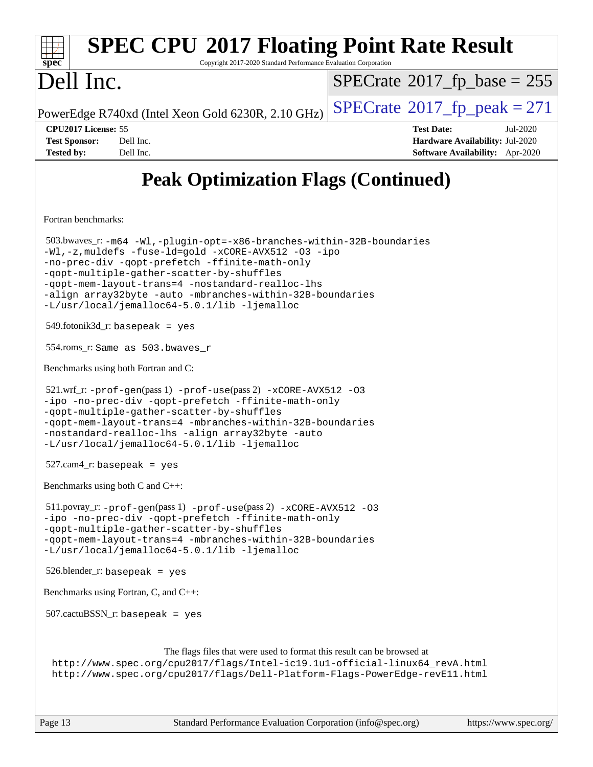| <b>SPEC CPU®2017 Floating Point Rate Result</b><br>Copyright 2017-2020 Standard Performance Evaluation Corporation<br>spec <sup>®</sup>                                                                                                                                                                                                                                                        |                                                                                                            |
|------------------------------------------------------------------------------------------------------------------------------------------------------------------------------------------------------------------------------------------------------------------------------------------------------------------------------------------------------------------------------------------------|------------------------------------------------------------------------------------------------------------|
| Dell Inc.                                                                                                                                                                                                                                                                                                                                                                                      | $SPECrate^{\circ}2017$ [p base = 255                                                                       |
| PowerEdge R740xd (Intel Xeon Gold 6230R, 2.10 GHz)                                                                                                                                                                                                                                                                                                                                             | $SPECTate@2017_fp\_peak = 271$                                                                             |
| CPU2017 License: 55<br><b>Test Sponsor:</b><br>Dell Inc.<br>Dell Inc.<br><b>Tested by:</b>                                                                                                                                                                                                                                                                                                     | <b>Test Date:</b><br>Jul-2020<br>Hardware Availability: Jul-2020<br><b>Software Availability:</b> Apr-2020 |
| <b>Peak Optimization Flags (Continued)</b>                                                                                                                                                                                                                                                                                                                                                     |                                                                                                            |
| Fortran benchmarks:                                                                                                                                                                                                                                                                                                                                                                            |                                                                                                            |
| 503.bwaves_r: -m64 -Wl,-plugin-opt=-x86-branches-within-32B-boundaries<br>-Wl,-z, muldefs -fuse-ld=gold -xCORE-AVX512 -03 -ipo<br>-no-prec-div -qopt-prefetch -ffinite-math-only<br>-qopt-multiple-gather-scatter-by-shuffles<br>-gopt-mem-layout-trans=4 -nostandard-realloc-lhs<br>-align array32byte -auto -mbranches-within-32B-boundaries<br>-L/usr/local/jemalloc64-5.0.1/lib -ljemalloc |                                                                                                            |
| $549$ .fotonik $3d$ <sub>r</sub> : basepeak = yes                                                                                                                                                                                                                                                                                                                                              |                                                                                                            |
| 554.roms_r: Same as 503.bwaves_r                                                                                                                                                                                                                                                                                                                                                               |                                                                                                            |
| Benchmarks using both Fortran and C:                                                                                                                                                                                                                                                                                                                                                           |                                                                                                            |
| 521.wrf_r: -prof-gen(pass 1) -prof-use(pass 2) -xCORE-AVX512 -03<br>-ipo -no-prec-div -qopt-prefetch -ffinite-math-only<br>-qopt-multiple-gather-scatter-by-shuffles<br>-qopt-mem-layout-trans=4 -mbranches-within-32B-boundaries<br>-nostandard-realloc-lhs -align array32byte -auto<br>-L/usr/local/jemalloc64-5.0.1/lib -ljemalloc                                                          |                                                                                                            |
| $527.cam4_r$ : basepeak = yes                                                                                                                                                                                                                                                                                                                                                                  |                                                                                                            |
| Benchmarks using both C and C++:                                                                                                                                                                                                                                                                                                                                                               |                                                                                                            |
| $511.$ povray_r: -prof-qen(pass 1) -prof-use(pass 2) -xCORE-AVX512 -03<br>-ipo -no-prec-div -qopt-prefetch -ffinite-math-only<br>-qopt-multiple-gather-scatter-by-shuffles<br>-qopt-mem-layout-trans=4 -mbranches-within-32B-boundaries<br>-L/usr/local/jemalloc64-5.0.1/lib -ljemalloc                                                                                                        |                                                                                                            |
| $526.b$ lender_r: basepeak = yes                                                                                                                                                                                                                                                                                                                                                               |                                                                                                            |
| Benchmarks using Fortran, C, and C++:                                                                                                                                                                                                                                                                                                                                                          |                                                                                                            |
| $507.cactuBSSN_r$ : basepeak = yes                                                                                                                                                                                                                                                                                                                                                             |                                                                                                            |
| The flags files that were used to format this result can be browsed at<br>http://www.spec.org/cpu2017/flags/Intel-ic19.1u1-official-linux64_revA.html<br>http://www.spec.org/cpu2017/flags/Dell-Platform-Flags-PowerEdge-revE11.html                                                                                                                                                           |                                                                                                            |